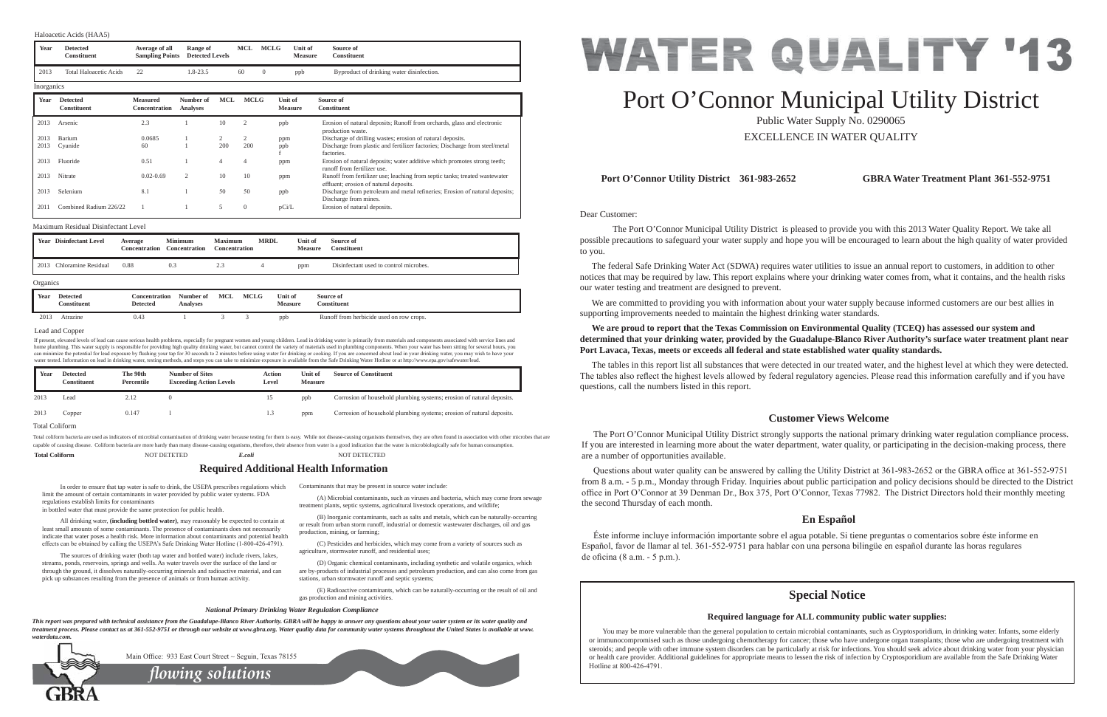Dear Customer:

 The Port O'Connor Municipal Utility District is pleased to provide you with this 2013 Water Quality Report. We take all possible precautions to safeguard your water supply and hope you will be encouraged to learn about the high quality of water provided to you.

 The federal Safe Drinking Water Act (SDWA) requires water utilities to issue an annual report to customers, in addition to other notices that may be required by law. This report explains where your drinking water comes from, what it contains, and the health risks our water testing and treatment are designed to prevent.

 We are committed to providing you with information about your water supply because informed customers are our best allies in supporting improvements needed to maintain the highest drinking water standards.

**We are proud to report that the Texas Commission on Environmental Quality (TCEQ) has assessed our system and determined that your drinking water, provided by the Guadalupe-Blanco River Authority's surface water treatment plant near** 

# **Port Lavaca, Texas, meets or exceeds all federal and state established water quality standards.**

Questions about water quality can be answered by calling the Utility District at 361-983-2652 or the GBRA office at 361-552-9751 from 8 a.m. - 5 p.m., Monday through Friday. Inquiries about public participation and policy decisions should be directed to the District office in Port O'Connor at 39 Denman Dr., Box 375, Port O'Connor, Texas 77982. The District Directors hold their monthly meeting the second Thursday of each month.

 Éste informe incluye información importante sobre el agua potable. Si tiene preguntas o comentarios sobre éste informe en Español, favor de llamar al tel. 361-552-9751 para hablar con una persona bilingüe en español durante las horas regulares de oficina  $(8 a.m. - 5 p.m.).$ 

The tables in this report list all substances that were detected in our treated water, and the highest level at which they were detected. The tables also reflect the highest levels allowed by federal regulatory agencies. Please read this information carefully and if you have questions, call the numbers listed in this report.

 All drinking water, **(including bottled water)**, may reasonably be expected to contain at least small amounts of some contaminants. The presence of contaminants does not necessarily indicate that water poses a health risk. More information about contaminants and potential health effects can be obtained by calling the USEPA's Safe Drinking Water Hotline (1-800-426-4791).

## **Port O'Connor Utility District 361-983-2652 GBRA Water Treatment Plant 361-552-9751**

## **Customer Views Welcome**

 The Port O'Connor Municipal Utility District strongly supports the national primary drinking water regulation compliance process. If you are interested in learning more about the water department, water quality, or participating in the decision-making process, there are a number of opportunities available.

## **En Español**

If present, elevated levels of lead can cause serious health problems, especially for pregnant women and young children. Lead in drinking water is primarily from materials and components associated with service lines and home plumbing. This water supply is responsible for providing high quality drinking water, but cannot control the variety of materials used in plumbing components. When your water has been sitting for several hours, you can minimize the potential for lead exposure by flushing your tap for 30 seconds to 2 minutes before using water for drinking or cooking. If you are concerned about lead in your drinking water, you may wish to have your water tested. Information on lead in drinking water, testing methods, and steps you can take to minimize exposure is available from the Safe Drinking Water Hotline or at http://www.epa.gov/safewater/lead

In order to ensure that tap water is safe to drink, the USEPA prescribes regulations which limit the amount of certain contaminants in water provided by public water systems. FDA regulations establish limits for contaminants

in bottled water that must provide the same protection for public health.

 The sources of drinking water (both tap water and bottled water) include rivers, lakes, streams, ponds, reservoirs, springs and wells. As water travels over the surface of the land or through the ground, it dissolves naturally-occurring minerals and radioactive material, and can pick up substances resulting from the presence of animals or from human activity.

Contaminants that may be present in source water include:

Total coliform bacteria are used as indicators of microbial contamination of drinking water because testing for them is easy. While not disease-causing organisms themselves, they are often found in association with other m capable of causing disease. Coliform bacteria are more hardy than many disease-causing organisms, therefore, their absence from water is a good indication that the water is microbiologically safe for human consumption.

> *flowing solutions* Main Office: 933 East Court Street  $\sim$  Seguin, Texas 78155

 (A) Microbial contaminants, such as viruses and bacteria, which may come from sewage treatment plants, septic systems, agricultural livestock operations, and wildlife;

 (B) Inorganic contaminants, such as salts and metals, which can be naturally-occurring or result from urban storm runoff, industrial or domestic wastewater discharges, oil and gas production, mining, or farming;

 (C) Pesticides and herbicides, which may come from a variety of sources such as agriculture, stormwater runoff, and residential uses;

 (D) Organic chemical contaminants, including synthetic and volatile organics, which are by-products of industrial processes and petroleum production, and can also come from gas stations, urban stormwater runoff and septic systems;

 (E) Radioactive contaminants, which can be naturally-occurring or the result of oil and gas production and mining activities.

|  |  | <b>Required Additional Health Information</b> |
|--|--|-----------------------------------------------|

### *National Primary Drinking Water Regulation Compliance*

*This report was prepared with technical assistance from the Guadalupe-Blanco River Authority. GBRA will be happy to answer any questions about your water system or its water quality and treatment process. Please contact us at 361-552-9751 or through our website at www.gbra.org. Water quality data for community water systems throughout the United States is available at www. waterdata.com.*



# Port O'Connor Municipal Utility District

Public Water Supply No. 0290065 EXCELLENCE IN WATER QUALITY

### Lead and Copper

| Year | <b>Disinfectant Level</b> | Average<br>Concentration | <b>Minimum</b><br><b>Concentration</b> | <b>Maximum</b><br>Concentration | <b>MRDL</b> | Unit of<br><b>Measure</b> | Source of<br><b>Constituent</b>        |
|------|---------------------------|--------------------------|----------------------------------------|---------------------------------|-------------|---------------------------|----------------------------------------|
| 2013 | Chloramine Residual       | 0.88                     |                                        | نده ک                           |             | ppm                       | Disinfectant used to control microbes. |

### **Organics**

### Maximum Residual Disinfectant Level

### Haloacetic Acids (HAA5)

| Year | Detected<br>Constituent | The 90th<br>Percentile | <b>Number of Sites</b><br><b>Exceeding Action Levels</b> | Action<br>Level | Unit of<br><b>Measure</b> | <b>Source of Constituent</b>                                          |
|------|-------------------------|------------------------|----------------------------------------------------------|-----------------|---------------------------|-----------------------------------------------------------------------|
| 2013 | Lead                    | 2.12                   |                                                          | 15              | ppb                       | Corrosion of household plumbing systems; erosion of natural deposits. |
| 2013 | Copper                  | 0.147                  |                                                          | L.3             | ppm                       | Corrosion of household plumbing systems; erosion of natural deposits. |

**Total Coliform** NOT DETETED *E.coli* NOT DETECTED

### Total Coliform

## **Special Notice**

## **Required language for ALL community public water supplies:**

You may be more vulnerable than the general population to certain microbial contaminants, such as Cryptosporidium, in drinking water. Infants, some elderly or immunocompromised such as those undergoing chemotherapy for cancer; those who have undergone organ transplants; those who are undergoing treatment with steroids; and people with other immune system disorders can be particularly at risk for infections. You should seek advice about drinking water from your physician or health care provider. Additional guidelines for appropriate means to lessen the risk of infection by Cryptosporidium are available from the Safe Drinking Water Hotline at 800-426-4791.



| Year       | <b>Detected</b><br><b>Constituent</b> | Average of all<br><b>Sampling Points</b> | Range of<br><b>Detected Levels</b> |                | MCL          | <b>MCLG</b> | Unit of<br><b>Measure</b> | Source of<br><b>Constituent</b>                                                                                      |
|------------|---------------------------------------|------------------------------------------|------------------------------------|----------------|--------------|-------------|---------------------------|----------------------------------------------------------------------------------------------------------------------|
| 2013       | <b>Total Haloacetic Acids</b>         | 22                                       | 1.8-23.5                           |                | 60           | $\theta$    | ppb                       | Byproduct of drinking water disinfection.                                                                            |
| Inorganics |                                       |                                          |                                    |                |              |             |                           |                                                                                                                      |
| Year       | <b>Detected</b><br><b>Constituent</b> | <b>Measured</b><br><b>Concentration</b>  | Number of<br><b>Analyses</b>       | MCL            | <b>MCLG</b>  |             | Unit of<br><b>Measure</b> | Source of<br><b>Constituent</b>                                                                                      |
| 2013       | Arsenic                               | 2.3                                      |                                    | 10             | 2            |             | ppb                       | Erosion of natural deposits; Runoff from orchards, glass and electronic<br>production waste.                         |
| 2013       | Barium                                | 0.0685                                   |                                    | 2              | 2            |             | ppm                       | Discharge of drilling wastes; erosion of natural deposits.                                                           |
| 2013       | Cyanide                               | 60                                       |                                    | 200            | 200          |             | ppb                       | Discharge from plastic and fertilizer factories; Discharge from steel/metal<br>factories.                            |
| 2013       | Fluoride                              | 0.51                                     |                                    | $\overline{4}$ | 4            |             | ppm                       | Erosion of natural deposits; water additive which promotes strong teeth;<br>runoff from fertilizer use.              |
| 2013       | Nitrate                               | $0.02 - 0.69$                            | $\overline{2}$                     | 10             | 10           |             | ppm                       | Runoff from fertilizer use; leaching from septic tanks; treated wastewater<br>effluent; erosion of natural deposits. |
| 2013       | Selenium                              | 8.1                                      |                                    | 50             | 50           |             | ppb                       | Discharge from petroleum and metal refineries; Erosion of natural deposits;<br>Discharge from mines.                 |
| 2011       | Combined Radium 226/22                |                                          |                                    | 5              | $\mathbf{0}$ |             | pCi/L                     | Erosion of natural deposits.                                                                                         |

| Year | <b>Detected</b><br>Constituent | Concentration<br><b>Detected</b> | Number of<br>Analyses | MCL | <b>MCLG</b> | Unit of<br><b>Measure</b> | Source of<br><b>Constituent</b>          |
|------|--------------------------------|----------------------------------|-----------------------|-----|-------------|---------------------------|------------------------------------------|
| 2013 | Atrazine                       | 0.43                             |                       |     |             | ppb                       | Runoff from herbicide used on row crops. |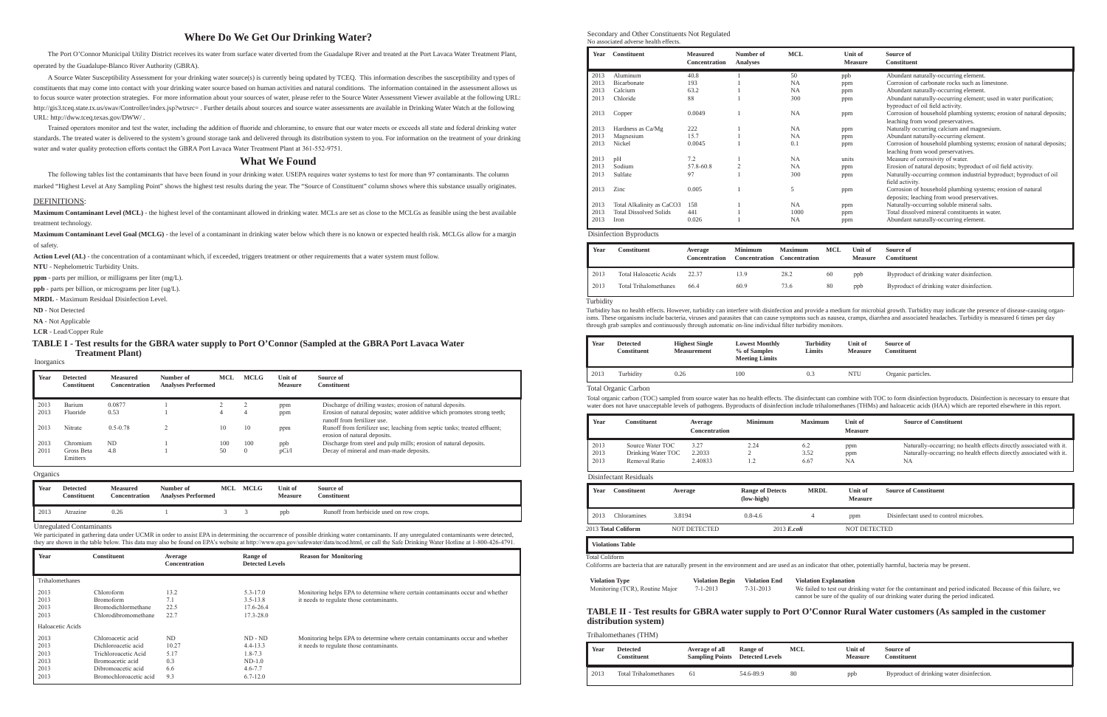## **Where Do We Get Our Drinking Water?**

The Port O'Connor Municipal Utility District receives its water from surface water diverted from the Guadalupe River and treated at the Port Lavaca Water Treatment Plant, operated by the Guadalupe-Blanco River Authority (GBRA).

 A Source Water Susceptibility Assessment for your drinking water source(s) is currently being updated by TCEQ. This information describes the susceptibility and types of constituents that may come into contact with your drinking water source based on human activities and natural conditions. The information contained in the assessment allows us to focus source water protection strategies. For more information about your sources of water, please refer to the Source Water Assessment Viewer available at the following URL: http://gis3.tceq.state.tx.us/swav/Controller/index.jsp?wtrsrc= . Further details about sources and source water assessments are available in Drinking Water Watch at the following URL: http://dww.tceq.texas.gov/DWW/ .

Trained operators monitor and test the water, including the addition of fluoride and chloramine, to ensure that our water meets or exceeds all state and federal drinking water standards. The treated water is delivered to the system's ground storage tank and delivered through its distribution system to you. For information on the treatment of your drinking water and water quality protection efforts contact the GBRA Port Lavaca Water Treatment Plant at 361-552-9751.

Maximum Contaminant Level (MCL) - the highest level of the contaminant allowed in drinking water. MCLs are set as close to the MCLGs as feasible using the best available treatment technology.

### **What We Found**

The following tables list the contaminants that have been found in your drinking water. USEPA requires water systems to test for more than 97 contaminants. The column

marked "Highest Level at Any Sampling Point" shows the highest test results during the year. The "Source of Constituent" column shows where this substance usually originates.

### DEFINITIONS:

**Maximum Contaminant Level Goal (MCLG)** - the level of a contaminant in drinking water below which there is no known or expected health risk. MCLGs allow for a margin of safety.

Action Level (AL) - the concentration of a contaminant which, if exceeded, triggers treatment or other requirements that a water system must follow.

We participated in gathering data under UCMR in order to assist EPA in determining the occurrence of possible drinking water contaminants. If any unregulated contaminants were detected, they are shown in the table below. This data may also be found on EPA's website at http://www.epa.gov/safewater/data/ncod.html, or call the Safe Drinking Water Hotline at 1-800-426-4791.

**NTU** - Nephelometric Turbidity Units.

**ppm** - parts per million, or milligrams per liter (mg/L).

**ppb** - parts per billion, or micrograms per liter (ug/L).

**MRDL** - Maximum Residual Disinfection Level.

**ND** - Not Detected

**NA** - Not Applicable

**LCR** - Lead/Copper Rule

| Year | <b>Detected</b><br>Constituent | <b>Measured</b><br><b>Concentration</b> | Number of<br><b>Analyses Performed</b> | <b>MCL</b> | <b>MCLG</b> | Unit of<br><b>Measure</b> | Source of<br><b>Constituent</b>                                                                           |
|------|--------------------------------|-----------------------------------------|----------------------------------------|------------|-------------|---------------------------|-----------------------------------------------------------------------------------------------------------|
| 2013 | Barium                         | 0.0877                                  |                                        |            |             | ppm                       | Discharge of drilling wastes; erosion of natural deposits.                                                |
| 2013 | Fluoride                       | 0.53                                    |                                        | 4          |             | ppm                       | Erosion of natural deposits; water additive which promotes strong teeth;<br>runoff from fertilizer use.   |
| 2013 | Nitrate                        | $0.5 - 0.78$                            |                                        | 10         | 10          | ppm                       | Runoff from fertilizer use; leaching from septic tanks; treated effluent;<br>erosion of natural deposits. |
| 2013 | Chromium                       | ND                                      |                                        | 100        | 100         | ppb                       | Discharge from steel and pulp mills; erosion of natural deposits.                                         |
| 2011 | Gross Beta<br>Emitters         | 4.8                                     |                                        | 50         | $\Omega$    | pCi/1                     | Decay of mineral and man-made deposits.                                                                   |

### Inorganics

| Year | Constituent                   | Average<br>Concentration | <b>Minimum</b><br><b>Concentration</b> | <b>Maximum</b><br><b>Concentration</b> | MCL | Unit of<br><b>Measure</b> | Source of<br>Constituent                  |
|------|-------------------------------|--------------------------|----------------------------------------|----------------------------------------|-----|---------------------------|-------------------------------------------|
| 2013 | <b>Total Haloacetic Acids</b> | 22.37                    | 13.9                                   | 28.2                                   | 60  | ppb                       | Byproduct of drinking water disinfection. |
| 2013 | <b>Total Trihalomethanes</b>  | 66.4                     | 60.9                                   | 73.6                                   | 80  | ppb                       | Byproduct of drinking water disinfection. |

|  | Disinfection Byproducts |
|--|-------------------------|
|--|-------------------------|

| Year | Detected<br>Constituent | Measured<br>Concentration | Number of<br><b>Analyses Performed</b> | <b>MCLG</b> | Unit of<br><b>Measure</b> | Source of<br><b>Constituent</b>          |
|------|-------------------------|---------------------------|----------------------------------------|-------------|---------------------------|------------------------------------------|
| 2013 | Atrazine                | $_{0.26}$                 |                                        |             | ppb                       | Runoff from herbicide used on row crops. |

Organics

| Year                                         | <b>Constituent</b>                                                                                                                   | Average<br><b>Concentration</b>                 | Range of<br><b>Detected Levels</b>                                                  | <b>Reason for Monitoring</b>                                                                                               |
|----------------------------------------------|--------------------------------------------------------------------------------------------------------------------------------------|-------------------------------------------------|-------------------------------------------------------------------------------------|----------------------------------------------------------------------------------------------------------------------------|
| Trihalomethanes                              |                                                                                                                                      |                                                 |                                                                                     |                                                                                                                            |
| 2013<br>2013<br>2013<br>2013                 | Chloroform<br>Bromoform<br>Bromodichlormethane<br>Chlorodibromomethane                                                               | 13.2<br>7.1<br>22.5<br>22.7                     | $5.3 - 17.0$<br>$3.5 - 13.8$<br>17.6-26.4<br>$17.3 - 28.0$                          | Monitoring helps EPA to determine where certain contaminants occur and whether<br>it needs to regulate those contaminants. |
| Haloacetic Acids                             |                                                                                                                                      |                                                 |                                                                                     |                                                                                                                            |
| 2013<br>2013<br>2013<br>2013<br>2013<br>2013 | Chloroacetic acid<br>Dichloroacetic acid<br>Trichloroacetic Acid<br>Bromoacetic acid<br>Dibromoacetic acid<br>Bromochloroacetic acid | <b>ND</b><br>10.27<br>5.17<br>0.3<br>6.6<br>9.3 | $ND - ND$<br>$4.4 - 13.3$<br>$1.8 - 7.3$<br>$ND-1.0$<br>$4.6 - 7.7$<br>$6.7 - 12.0$ | Monitoring helps EPA to determine where certain contaminants occur and whether<br>it needs to regulate those contaminants. |

Unregulated Contaminants

### **TABLE I - Test results for the GBRA water supply to Port O'Connor (Sampled at the GBRA Port Lavaca Water Treatment Plant)**

Secondary and Other Constituents Not Regulated No associated adverse health effects.

| Year | <b>Constituent</b>            | <b>Measured</b><br><b>Concentration</b> | Number of<br><b>Analyses</b> | <b>MCL</b> | <b>Unit of</b><br><b>Measure</b> | Source of<br><b>Constituent</b>                                       |
|------|-------------------------------|-----------------------------------------|------------------------------|------------|----------------------------------|-----------------------------------------------------------------------|
| 2013 | Aluminum                      | 40.8                                    |                              | 50         | ppb                              | Abundant naturally-occurring element.                                 |
| 2013 | Bicarbonate                   | 193                                     |                              | <b>NA</b>  | ppm                              | Corrosion of carbonate rocks such as limestone.                       |
| 2013 | Calcium                       | 63.2                                    |                              | <b>NA</b>  | ppm                              | Abundant naturally-occurring element.                                 |
| 2013 | Chloride                      | 88                                      |                              | 300        | ppm                              | Abundant naturally-occurring element; used in water purification;     |
|      |                               |                                         |                              |            |                                  | byproduct of oil field activity.                                      |
| 2013 | Copper                        | 0.0049                                  |                              | <b>NA</b>  | ppm                              | Corrosion of household plumbing systems; erosion of natural deposits; |
|      |                               |                                         |                              |            |                                  | leaching from wood preservatives.                                     |
| 2013 | Hardness as Ca/Mg             | 222                                     |                              | <b>NA</b>  | ppm                              | Naturally occurring calcium and magnesium.                            |
| 2013 | Magnesium                     | 15.7                                    |                              | NA         | ppm                              | Abundant naturally-occurring element.                                 |
| 2013 | Nickel                        | 0.0045                                  |                              | 0.1        | ppm                              | Corrosion of household plumbing systems; erosion of natural deposits; |
|      |                               |                                         |                              |            |                                  | leaching from wood preservatives.                                     |
| 2013 | pH                            | 7.2                                     |                              | <b>NA</b>  | units                            | Measure of corrosivity of water.                                      |
| 2013 | Sodium                        | 57.8-60.8                               |                              | <b>NA</b>  | ppm                              | Erosion of natural deposits; byproduct of oil field activity.         |
| 2013 | Sulfate                       | 97                                      |                              | 300        | ppm                              | Naturally-occurring common industrial byproduct; byproduct of oil     |
|      |                               |                                         |                              |            |                                  | field activity.                                                       |
| 2013 | Zinc                          | 0.005                                   |                              | 5          | ppm                              | Corrosion of household plumbing systems; erosion of natural           |
|      |                               |                                         |                              |            |                                  | deposits; leaching from wood preservatives.                           |
| 2013 | Total Alkalinity as CaCO3     | 158                                     |                              | <b>NA</b>  | ppm                              | Naturally-occurring soluble mineral salts.                            |
| 2013 | <b>Total Dissolved Solids</b> | 441                                     |                              | 1000       | ppm                              | Total dissolved mineral constituents in water.                        |
| 2013 | Iron                          | 0.026                                   |                              | <b>NA</b>  | ppm                              | Abundant naturally-occurring element.                                 |
|      |                               |                                         |                              |            |                                  |                                                                       |

| Year                                                                                                 | <b>Constituent</b>                                      | Average<br>Concentration                | <b>Minimum</b>                                 | <b>Maximum</b>                                                                                                                                                                                                                 | <b>Unit of</b><br><b>Measure</b> | <b>Source of Constituent</b>                                                                                                                                |  |  |
|------------------------------------------------------------------------------------------------------|---------------------------------------------------------|-----------------------------------------|------------------------------------------------|--------------------------------------------------------------------------------------------------------------------------------------------------------------------------------------------------------------------------------|----------------------------------|-------------------------------------------------------------------------------------------------------------------------------------------------------------|--|--|
| 2013<br>2013<br>2013                                                                                 | Source Water TOC<br>Drinking Water TOC<br>Removal Ratio | 3.27<br>2.2033<br>2.40833               | 2.24<br>2<br>1.2                               | 6.2<br>3.52<br>6.67                                                                                                                                                                                                            | ppm<br>ppm<br><b>NA</b>          | Naturally-occurring; no health effects directly associated with it.<br>Naturally-occurring; no health effects directly associated with it.<br><b>NA</b>     |  |  |
|                                                                                                      | Disinfectant Residuals                                  |                                         |                                                |                                                                                                                                                                                                                                |                                  |                                                                                                                                                             |  |  |
| Year                                                                                                 | <b>Constituent</b>                                      | Average                                 | <b>Range of Detects</b><br>$(low\text{-high})$ | <b>MRDL</b>                                                                                                                                                                                                                    | Unit of<br><b>Measure</b>        | <b>Source of Constituent</b>                                                                                                                                |  |  |
| 2013                                                                                                 | Chloramines                                             | 3.8194                                  | $0.8 - 4.6$                                    | 4                                                                                                                                                                                                                              | ppm                              | Disinfectant used to control microbes.                                                                                                                      |  |  |
|                                                                                                      | 2013 Total Coliform                                     | <b>NOT DETECTED</b>                     | $2013$ E.coli                                  |                                                                                                                                                                                                                                | <b>NOT DETECTED</b>              |                                                                                                                                                             |  |  |
|                                                                                                      | <b>Violations Table</b>                                 |                                         |                                                |                                                                                                                                                                                                                                |                                  |                                                                                                                                                             |  |  |
| <b>Total Coliform</b>                                                                                |                                                         |                                         |                                                |                                                                                                                                                                                                                                |                                  | Coliforms are bacteria that are naturally present in the environment and are used as an indicator that other, potentially harmful, bacteria may be present. |  |  |
| <b>Violation Begin</b><br><b>Violation Type</b><br>$7 - 1 - 2013$<br>Monitoring (TCR), Routine Major |                                                         | <b>Violation End</b><br>$7 - 31 - 2013$ |                                                | <b>Violation Explanation</b><br>We failed to test our drinking water for the contaminant and period indicated. Because of this failure, we<br>cannot be sure of the quality of our drinking water during the period indicated. |                                  |                                                                                                                                                             |  |  |
|                                                                                                      | distribution system)                                    |                                         |                                                |                                                                                                                                                                                                                                |                                  | TABLE II - Test results for GBRA water supply to Port O'Connor Rural Water customers (As sampled in the customer                                            |  |  |

Total organic carbon (TOC) sampled from source water has no health effects. The disinfectant can combine with TOC to form disinfection byproducts. Disinfection is necessary to ensure that water does not have unacceptable levels of pathogens. Byproducts of disinfection include trihalomethanes (THMs) and haloacetic acids (HAA) which are reported elsewhere in this report.

### Total Organic Carbon

| Year | <b>Detected</b><br>Constituent | <b>Highest Single</b><br><b>Measurement</b> | <b>Lowest Monthly</b><br>% of Samples<br><b>Meeting Limits</b> | Turbidity<br>Limits | Unit of<br><b>Measure</b> | Source of<br>Constituent |
|------|--------------------------------|---------------------------------------------|----------------------------------------------------------------|---------------------|---------------------------|--------------------------|
| 2013 | Turbidity                      | 0.26                                        | 100                                                            | 0.3                 | <b>NTU</b>                | Organic particles.       |

### Turbidity

Turbidity has no health effects. However, turbidity can interfere with disinfection and provide a medium for microbial growth. Turbidity may indicate the presence of disease-causing organisms. These organisms include bacteria, viruses and parasites that can cause symptoms such as nausea, cramps, diarrhea and associated headaches. Turbidity is measured 6 times per day through grab samples and continuously through automatic on-line individual filter turbidity monitors.

| Year | <b>Detected</b><br>Constituent | Average of all<br><b>Sampling Points</b> | Range of<br><b>Detected Levels</b> | MCL | Unit of<br><b>Measure</b> | Source of<br>Constituent                  |
|------|--------------------------------|------------------------------------------|------------------------------------|-----|---------------------------|-------------------------------------------|
| 2013 | <b>Total Trihalomethanes</b>   | 61                                       | 54.6-89.9                          | 80  | ppb                       | Byproduct of drinking water disinfection. |

### Trihalomethanes (THM)